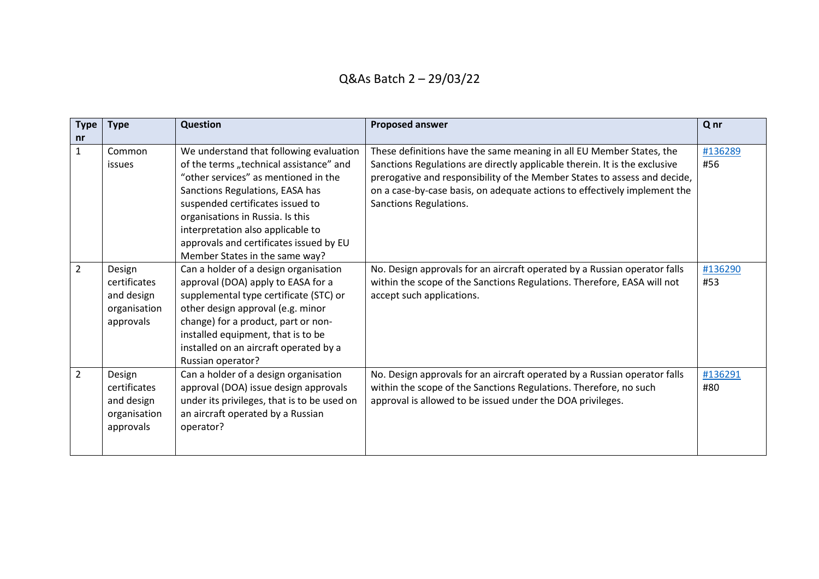| <b>Type</b><br>nr | <b>Type</b>                                                       | Question                                                                                                                                                                                                                                                                                                                                                | <b>Proposed answer</b>                                                                                                                                                                                                                                                                                                                 | Qnr            |
|-------------------|-------------------------------------------------------------------|---------------------------------------------------------------------------------------------------------------------------------------------------------------------------------------------------------------------------------------------------------------------------------------------------------------------------------------------------------|----------------------------------------------------------------------------------------------------------------------------------------------------------------------------------------------------------------------------------------------------------------------------------------------------------------------------------------|----------------|
| $\mathbf{1}$      | Common<br><i>issues</i>                                           | We understand that following evaluation<br>of the terms "technical assistance" and<br>"other services" as mentioned in the<br>Sanctions Regulations, EASA has<br>suspended certificates issued to<br>organisations in Russia. Is this<br>interpretation also applicable to<br>approvals and certificates issued by EU<br>Member States in the same way? | These definitions have the same meaning in all EU Member States, the<br>Sanctions Regulations are directly applicable therein. It is the exclusive<br>prerogative and responsibility of the Member States to assess and decide,<br>on a case-by-case basis, on adequate actions to effectively implement the<br>Sanctions Regulations. | #136289<br>#56 |
| $\overline{2}$    | Design<br>certificates<br>and design<br>organisation<br>approvals | Can a holder of a design organisation<br>approval (DOA) apply to EASA for a<br>supplemental type certificate (STC) or<br>other design approval (e.g. minor<br>change) for a product, part or non-<br>installed equipment, that is to be<br>installed on an aircraft operated by a<br>Russian operator?                                                  | No. Design approvals for an aircraft operated by a Russian operator falls<br>within the scope of the Sanctions Regulations. Therefore, EASA will not<br>accept such applications.                                                                                                                                                      | #136290<br>#53 |
| $\overline{2}$    | Design<br>certificates<br>and design<br>organisation<br>approvals | Can a holder of a design organisation<br>approval (DOA) issue design approvals<br>under its privileges, that is to be used on<br>an aircraft operated by a Russian<br>operator?                                                                                                                                                                         | No. Design approvals for an aircraft operated by a Russian operator falls<br>within the scope of the Sanctions Regulations. Therefore, no such<br>approval is allowed to be issued under the DOA privileges.                                                                                                                           | #136291<br>#80 |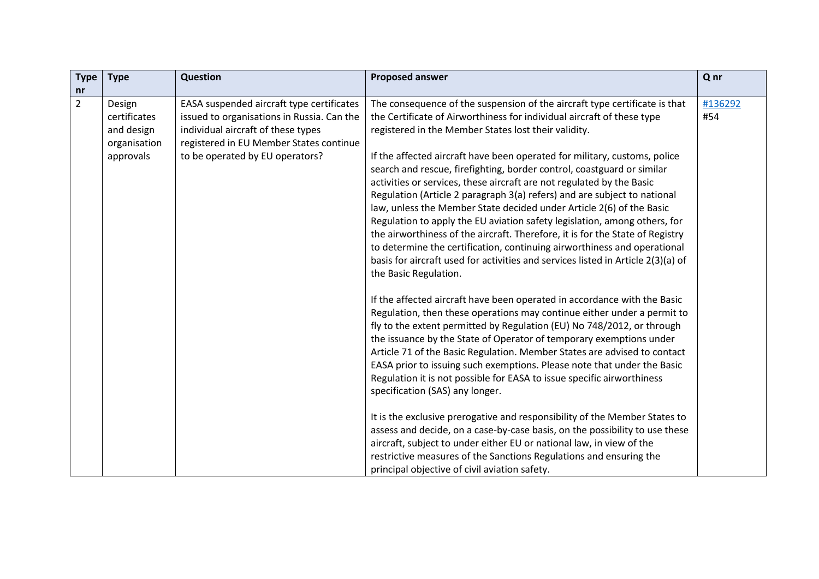| <b>Type</b>    | <b>Type</b>                                                       | Question                                                                                                                                                                                                    | <b>Proposed answer</b>                                                                                                                                                                                                                                                                                                                                                                                                                                                                                                                                                                                                                                                                                                                                                                                                                                                                                                                                  | Q nr           |
|----------------|-------------------------------------------------------------------|-------------------------------------------------------------------------------------------------------------------------------------------------------------------------------------------------------------|---------------------------------------------------------------------------------------------------------------------------------------------------------------------------------------------------------------------------------------------------------------------------------------------------------------------------------------------------------------------------------------------------------------------------------------------------------------------------------------------------------------------------------------------------------------------------------------------------------------------------------------------------------------------------------------------------------------------------------------------------------------------------------------------------------------------------------------------------------------------------------------------------------------------------------------------------------|----------------|
| nr             |                                                                   |                                                                                                                                                                                                             |                                                                                                                                                                                                                                                                                                                                                                                                                                                                                                                                                                                                                                                                                                                                                                                                                                                                                                                                                         |                |
| $\overline{2}$ | Design<br>certificates<br>and design<br>organisation<br>approvals | EASA suspended aircraft type certificates<br>issued to organisations in Russia. Can the<br>individual aircraft of these types<br>registered in EU Member States continue<br>to be operated by EU operators? | The consequence of the suspension of the aircraft type certificate is that<br>the Certificate of Airworthiness for individual aircraft of these type<br>registered in the Member States lost their validity.<br>If the affected aircraft have been operated for military, customs, police<br>search and rescue, firefighting, border control, coastguard or similar<br>activities or services, these aircraft are not regulated by the Basic<br>Regulation (Article 2 paragraph 3(a) refers) and are subject to national<br>law, unless the Member State decided under Article 2(6) of the Basic<br>Regulation to apply the EU aviation safety legislation, among others, for<br>the airworthiness of the aircraft. Therefore, it is for the State of Registry<br>to determine the certification, continuing airworthiness and operational<br>basis for aircraft used for activities and services listed in Article 2(3)(a) of<br>the Basic Regulation. | #136292<br>#54 |
|                |                                                                   |                                                                                                                                                                                                             | If the affected aircraft have been operated in accordance with the Basic<br>Regulation, then these operations may continue either under a permit to<br>fly to the extent permitted by Regulation (EU) No 748/2012, or through<br>the issuance by the State of Operator of temporary exemptions under<br>Article 71 of the Basic Regulation. Member States are advised to contact<br>EASA prior to issuing such exemptions. Please note that under the Basic<br>Regulation it is not possible for EASA to issue specific airworthiness<br>specification (SAS) any longer.<br>It is the exclusive prerogative and responsibility of the Member States to<br>assess and decide, on a case-by-case basis, on the possibility to use these<br>aircraft, subject to under either EU or national law, in view of the<br>restrictive measures of the Sanctions Regulations and ensuring the<br>principal objective of civil aviation safety.                    |                |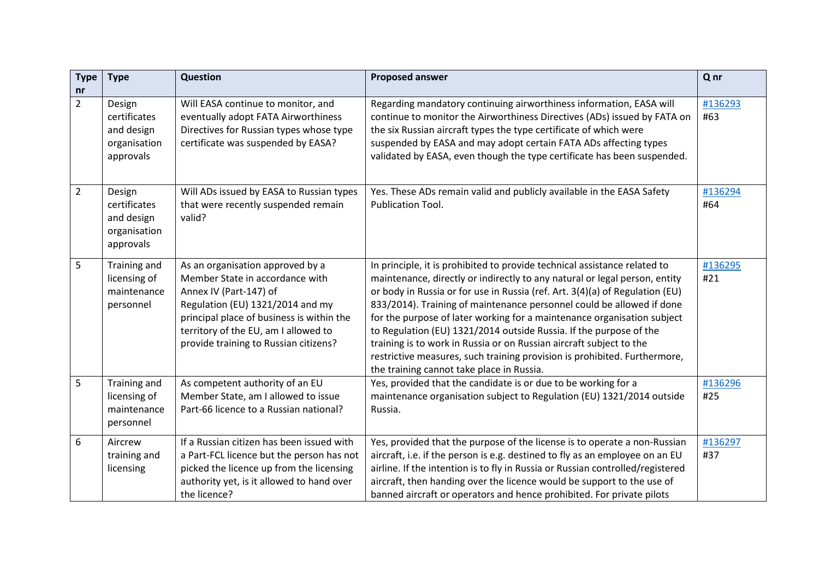| <b>Type</b>    | <b>Type</b>                                                       | <b>Question</b>                                                                                                                                                                                                                                                 | <b>Proposed answer</b>                                                                                                                                                                                                                                                                                                                                                                                                                                                                                                                                                                                                                                             | Q nr           |
|----------------|-------------------------------------------------------------------|-----------------------------------------------------------------------------------------------------------------------------------------------------------------------------------------------------------------------------------------------------------------|--------------------------------------------------------------------------------------------------------------------------------------------------------------------------------------------------------------------------------------------------------------------------------------------------------------------------------------------------------------------------------------------------------------------------------------------------------------------------------------------------------------------------------------------------------------------------------------------------------------------------------------------------------------------|----------------|
| nr             |                                                                   |                                                                                                                                                                                                                                                                 |                                                                                                                                                                                                                                                                                                                                                                                                                                                                                                                                                                                                                                                                    |                |
| $\overline{2}$ | Design<br>certificates<br>and design<br>organisation<br>approvals | Will EASA continue to monitor, and<br>eventually adopt FATA Airworthiness<br>Directives for Russian types whose type<br>certificate was suspended by EASA?                                                                                                      | Regarding mandatory continuing airworthiness information, EASA will<br>continue to monitor the Airworthiness Directives (ADs) issued by FATA on<br>the six Russian aircraft types the type certificate of which were<br>suspended by EASA and may adopt certain FATA ADs affecting types<br>validated by EASA, even though the type certificate has been suspended.                                                                                                                                                                                                                                                                                                | #136293<br>#63 |
| $\overline{2}$ | Design<br>certificates<br>and design<br>organisation<br>approvals | Will ADs issued by EASA to Russian types<br>that were recently suspended remain<br>valid?                                                                                                                                                                       | Yes. These ADs remain valid and publicly available in the EASA Safety<br>Publication Tool.                                                                                                                                                                                                                                                                                                                                                                                                                                                                                                                                                                         | #136294<br>#64 |
| 5              | Training and<br>licensing of<br>maintenance<br>personnel          | As an organisation approved by a<br>Member State in accordance with<br>Annex IV (Part-147) of<br>Regulation (EU) 1321/2014 and my<br>principal place of business is within the<br>territory of the EU, am I allowed to<br>provide training to Russian citizens? | In principle, it is prohibited to provide technical assistance related to<br>maintenance, directly or indirectly to any natural or legal person, entity<br>or body in Russia or for use in Russia (ref. Art. 3(4)(a) of Regulation (EU)<br>833/2014). Training of maintenance personnel could be allowed if done<br>for the purpose of later working for a maintenance organisation subject<br>to Regulation (EU) 1321/2014 outside Russia. If the purpose of the<br>training is to work in Russia or on Russian aircraft subject to the<br>restrictive measures, such training provision is prohibited. Furthermore,<br>the training cannot take place in Russia. | #136295<br>#21 |
| 5              | Training and<br>licensing of<br>maintenance<br>personnel          | As competent authority of an EU<br>Member State, am I allowed to issue<br>Part-66 licence to a Russian national?                                                                                                                                                | Yes, provided that the candidate is or due to be working for a<br>maintenance organisation subject to Regulation (EU) 1321/2014 outside<br>Russia.                                                                                                                                                                                                                                                                                                                                                                                                                                                                                                                 | #136296<br>#25 |
| 6              | Aircrew<br>training and<br>licensing                              | If a Russian citizen has been issued with<br>a Part-FCL licence but the person has not<br>picked the licence up from the licensing<br>authority yet, is it allowed to hand over<br>the licence?                                                                 | Yes, provided that the purpose of the license is to operate a non-Russian<br>aircraft, i.e. if the person is e.g. destined to fly as an employee on an EU<br>airline. If the intention is to fly in Russia or Russian controlled/registered<br>aircraft, then handing over the licence would be support to the use of<br>banned aircraft or operators and hence prohibited. For private pilots                                                                                                                                                                                                                                                                     | #136297<br>#37 |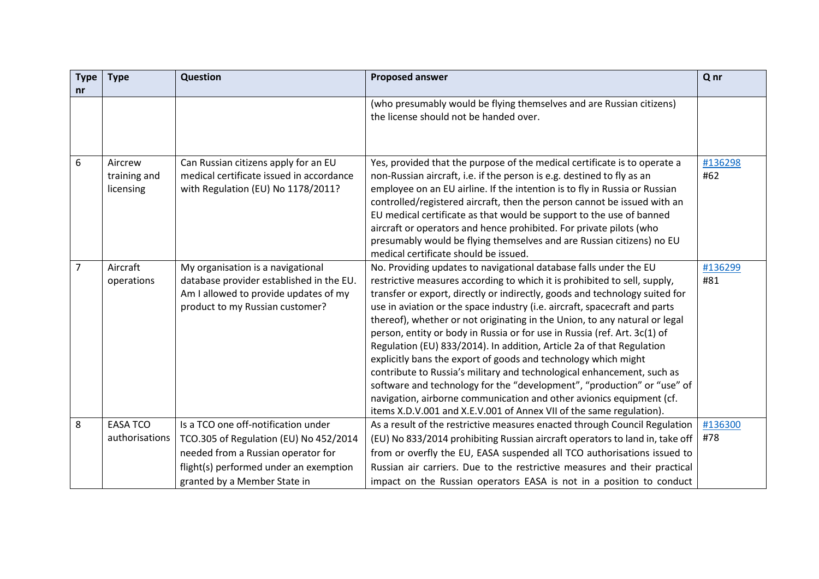| <b>Type</b><br>nr | <b>Type</b>                          | <b>Question</b>                                                                                                                                               | <b>Proposed answer</b>                                                                                                                                                                                                                                                                                                                                                                                                                                                                                                                                                                                                                                                                                                                                                                                                                                                                                                | Q nr           |
|-------------------|--------------------------------------|---------------------------------------------------------------------------------------------------------------------------------------------------------------|-----------------------------------------------------------------------------------------------------------------------------------------------------------------------------------------------------------------------------------------------------------------------------------------------------------------------------------------------------------------------------------------------------------------------------------------------------------------------------------------------------------------------------------------------------------------------------------------------------------------------------------------------------------------------------------------------------------------------------------------------------------------------------------------------------------------------------------------------------------------------------------------------------------------------|----------------|
|                   |                                      |                                                                                                                                                               | (who presumably would be flying themselves and are Russian citizens)<br>the license should not be handed over.                                                                                                                                                                                                                                                                                                                                                                                                                                                                                                                                                                                                                                                                                                                                                                                                        |                |
| 6                 | Aircrew<br>training and<br>licensing | Can Russian citizens apply for an EU<br>medical certificate issued in accordance<br>with Regulation (EU) No 1178/2011?                                        | Yes, provided that the purpose of the medical certificate is to operate a<br>non-Russian aircraft, i.e. if the person is e.g. destined to fly as an<br>employee on an EU airline. If the intention is to fly in Russia or Russian<br>controlled/registered aircraft, then the person cannot be issued with an<br>EU medical certificate as that would be support to the use of banned<br>aircraft or operators and hence prohibited. For private pilots (who<br>presumably would be flying themselves and are Russian citizens) no EU<br>medical certificate should be issued.                                                                                                                                                                                                                                                                                                                                        | #136298<br>#62 |
| 7                 | Aircraft<br>operations               | My organisation is a navigational<br>database provider established in the EU.<br>Am I allowed to provide updates of my<br>product to my Russian customer?     | No. Providing updates to navigational database falls under the EU<br>restrictive measures according to which it is prohibited to sell, supply,<br>transfer or export, directly or indirectly, goods and technology suited for<br>use in aviation or the space industry (i.e. aircraft, spacecraft and parts<br>thereof), whether or not originating in the Union, to any natural or legal<br>person, entity or body in Russia or for use in Russia (ref. Art. 3c(1) of<br>Regulation (EU) 833/2014). In addition, Article 2a of that Regulation<br>explicitly bans the export of goods and technology which might<br>contribute to Russia's military and technological enhancement, such as<br>software and technology for the "development", "production" or "use" of<br>navigation, airborne communication and other avionics equipment (cf.<br>items X.D.V.001 and X.E.V.001 of Annex VII of the same regulation). | #136299<br>#81 |
| 8                 | <b>EASA TCO</b><br>authorisations    | Is a TCO one off-notification under<br>TCO.305 of Regulation (EU) No 452/2014<br>needed from a Russian operator for<br>flight(s) performed under an exemption | As a result of the restrictive measures enacted through Council Regulation<br>(EU) No 833/2014 prohibiting Russian aircraft operators to land in, take off<br>from or overfly the EU, EASA suspended all TCO authorisations issued to<br>Russian air carriers. Due to the restrictive measures and their practical                                                                                                                                                                                                                                                                                                                                                                                                                                                                                                                                                                                                    | #136300<br>#78 |
|                   |                                      | granted by a Member State in                                                                                                                                  | impact on the Russian operators EASA is not in a position to conduct                                                                                                                                                                                                                                                                                                                                                                                                                                                                                                                                                                                                                                                                                                                                                                                                                                                  |                |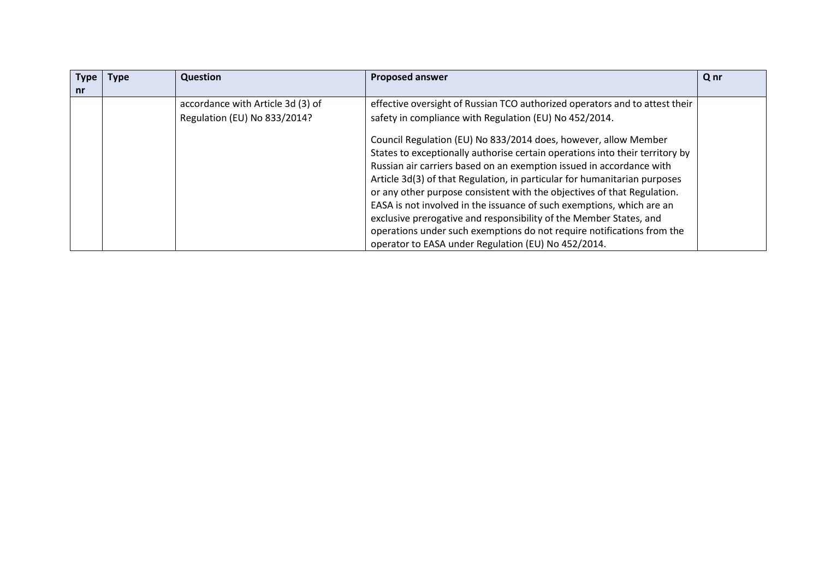| <b>Type</b><br>nr | <b>Type</b> | Question                                                          | <b>Proposed answer</b>                                                                                                                                                                                                                                                                                                                                                                                                                                                                                       | Q nr |
|-------------------|-------------|-------------------------------------------------------------------|--------------------------------------------------------------------------------------------------------------------------------------------------------------------------------------------------------------------------------------------------------------------------------------------------------------------------------------------------------------------------------------------------------------------------------------------------------------------------------------------------------------|------|
|                   |             | accordance with Article 3d (3) of<br>Regulation (EU) No 833/2014? | effective oversight of Russian TCO authorized operators and to attest their<br>safety in compliance with Regulation (EU) No 452/2014.<br>Council Regulation (EU) No 833/2014 does, however, allow Member<br>States to exceptionally authorise certain operations into their territory by                                                                                                                                                                                                                     |      |
|                   |             |                                                                   | Russian air carriers based on an exemption issued in accordance with<br>Article 3d(3) of that Regulation, in particular for humanitarian purposes<br>or any other purpose consistent with the objectives of that Regulation.<br>EASA is not involved in the issuance of such exemptions, which are an<br>exclusive prerogative and responsibility of the Member States, and<br>operations under such exemptions do not require notifications from the<br>operator to EASA under Regulation (EU) No 452/2014. |      |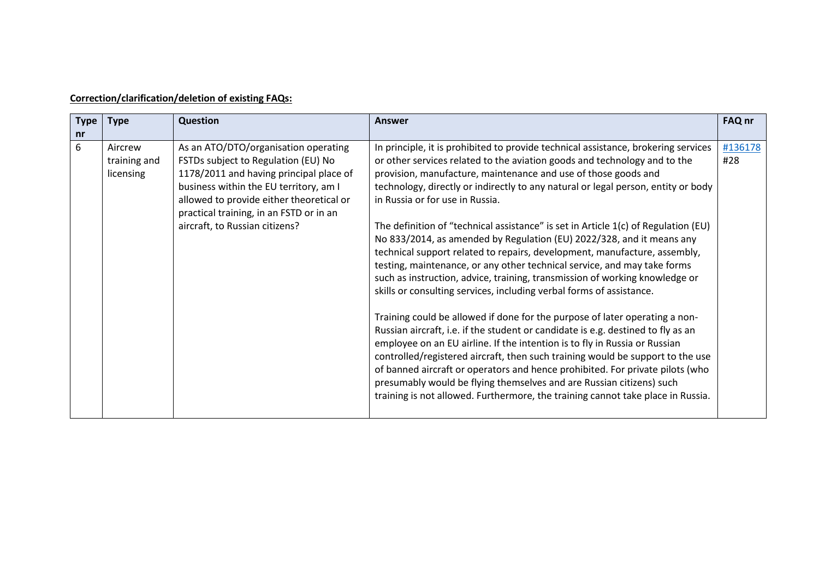| <b>Type</b><br>nr | <b>Type</b>                          | <b>Question</b>                                                                                                                                                                                                                                                                           | <b>Answer</b>                                                                                                                                                                                                                                                                                                                                                                                                                                                                                                                                                                                                                                                                                                                                                                                                                                                                                                                                                                                                                                                                                                                                                                                                                                                                                                                                                                                                           | FAQ nr         |
|-------------------|--------------------------------------|-------------------------------------------------------------------------------------------------------------------------------------------------------------------------------------------------------------------------------------------------------------------------------------------|-------------------------------------------------------------------------------------------------------------------------------------------------------------------------------------------------------------------------------------------------------------------------------------------------------------------------------------------------------------------------------------------------------------------------------------------------------------------------------------------------------------------------------------------------------------------------------------------------------------------------------------------------------------------------------------------------------------------------------------------------------------------------------------------------------------------------------------------------------------------------------------------------------------------------------------------------------------------------------------------------------------------------------------------------------------------------------------------------------------------------------------------------------------------------------------------------------------------------------------------------------------------------------------------------------------------------------------------------------------------------------------------------------------------------|----------------|
| 6                 | Aircrew<br>training and<br>licensing | As an ATO/DTO/organisation operating<br>FSTDs subject to Regulation (EU) No<br>1178/2011 and having principal place of<br>business within the EU territory, am I<br>allowed to provide either theoretical or<br>practical training, in an FSTD or in an<br>aircraft, to Russian citizens? | In principle, it is prohibited to provide technical assistance, brokering services<br>or other services related to the aviation goods and technology and to the<br>provision, manufacture, maintenance and use of those goods and<br>technology, directly or indirectly to any natural or legal person, entity or body<br>in Russia or for use in Russia.<br>The definition of "technical assistance" is set in Article 1(c) of Regulation (EU)<br>No 833/2014, as amended by Regulation (EU) 2022/328, and it means any<br>technical support related to repairs, development, manufacture, assembly,<br>testing, maintenance, or any other technical service, and may take forms<br>such as instruction, advice, training, transmission of working knowledge or<br>skills or consulting services, including verbal forms of assistance.<br>Training could be allowed if done for the purpose of later operating a non-<br>Russian aircraft, i.e. if the student or candidate is e.g. destined to fly as an<br>employee on an EU airline. If the intention is to fly in Russia or Russian<br>controlled/registered aircraft, then such training would be support to the use<br>of banned aircraft or operators and hence prohibited. For private pilots (who<br>presumably would be flying themselves and are Russian citizens) such<br>training is not allowed. Furthermore, the training cannot take place in Russia. | #136178<br>#28 |

## **Correction/clarification/deletion of existing FAQs:**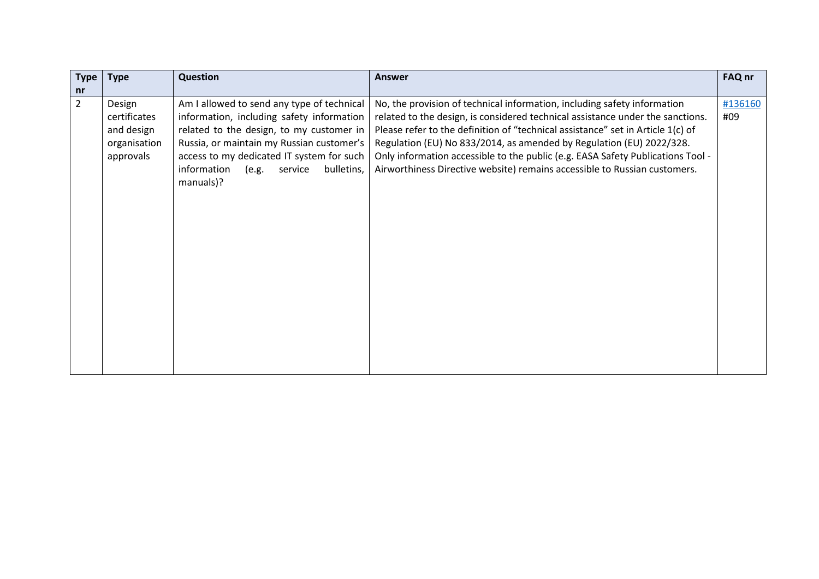| <b>Type</b>    | <b>Type</b>  | Question                                      | <b>Answer</b>                                                                   | FAQ nr  |
|----------------|--------------|-----------------------------------------------|---------------------------------------------------------------------------------|---------|
| nr             |              |                                               |                                                                                 |         |
| $\overline{2}$ | Design       | Am I allowed to send any type of technical    | No, the provision of technical information, including safety information        | #136160 |
|                | certificates | information, including safety information     | related to the design, is considered technical assistance under the sanctions.  | #09     |
|                | and design   | related to the design, to my customer in      | Please refer to the definition of "technical assistance" set in Article 1(c) of |         |
|                | organisation | Russia, or maintain my Russian customer's     | Regulation (EU) No 833/2014, as amended by Regulation (EU) 2022/328.            |         |
|                | approvals    | access to my dedicated IT system for such     | Only information accessible to the public (e.g. EASA Safety Publications Tool - |         |
|                |              | information<br>(e.g.<br>service<br>bulletins, | Airworthiness Directive website) remains accessible to Russian customers.       |         |
|                |              | manuals)?                                     |                                                                                 |         |
|                |              |                                               |                                                                                 |         |
|                |              |                                               |                                                                                 |         |
|                |              |                                               |                                                                                 |         |
|                |              |                                               |                                                                                 |         |
|                |              |                                               |                                                                                 |         |
|                |              |                                               |                                                                                 |         |
|                |              |                                               |                                                                                 |         |
|                |              |                                               |                                                                                 |         |
|                |              |                                               |                                                                                 |         |
|                |              |                                               |                                                                                 |         |
|                |              |                                               |                                                                                 |         |
|                |              |                                               |                                                                                 |         |
|                |              |                                               |                                                                                 |         |
|                |              |                                               |                                                                                 |         |
|                |              |                                               |                                                                                 |         |